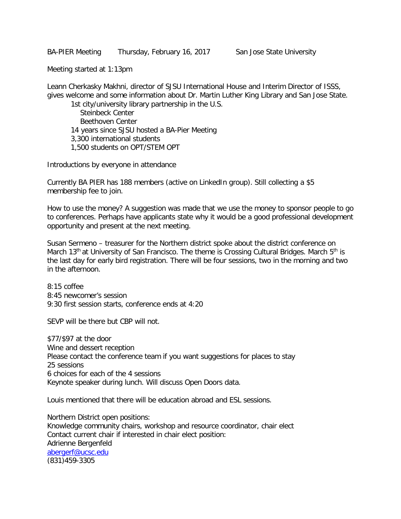BA-PIER Meeting Thursday, February 16, 2017 San Jose State University

Meeting started at 1:13pm

Leann Cherkasky Makhni, director of SJSU International House and Interim Director of ISSS, gives welcome and some information about Dr. Martin Luther King Library and San Jose State. 1st city/university library partnership in the U.S.

Steinbeck Center Beethoven Center 14 years since SJSU hosted a BA-Pier Meeting 3,300 international students 1,500 students on OPT/STEM OPT

Introductions by everyone in attendance

Currently BA PIER has 188 members (active on LinkedIn group). Still collecting a \$5 membership fee to join.

How to use the money? A suggestion was made that we use the money to sponsor people to go to conferences. Perhaps have applicants state why it would be a good professional development opportunity and present at the next meeting.

Susan Sermeno – treasurer for the Northern district spoke about the district conference on March 13<sup>th</sup> at University of San Francisco. The theme is Crossing Cultural Bridges. March  $5<sup>th</sup>$  is the last day for early bird registration. There will be four sessions, two in the morning and two in the afternoon.

8:15 coffee 8:45 newcomer's session 9:30 first session starts, conference ends at 4:20

SEVP will be there but CBP will not.

\$77/\$97 at the door Wine and dessert reception Please contact the conference team if you want suggestions for places to stay 25 sessions 6 choices for each of the 4 sessions Keynote speaker during lunch. Will discuss Open Doors data.

Louis mentioned that there will be education abroad and ESL sessions.

Northern District open positions: Knowledge community chairs, workshop and resource coordinator, chair elect Contact current chair if interested in chair elect position: Adrienne Bergenfeld [abergerf@ucsc.edu](mailto:abergerf@ucsc.edu) (831)459-3305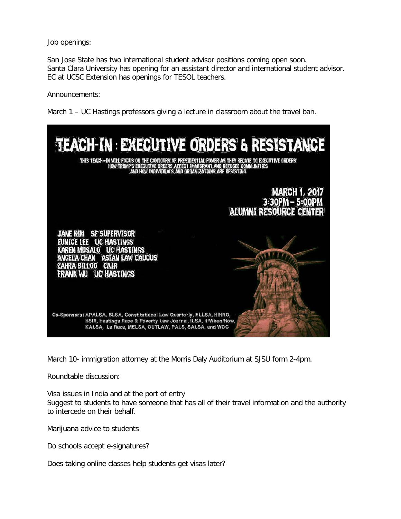Job openings:

San Jose State has two international student advisor positions coming open soon. Santa Clara University has opening for an assistant director and international student advisor. EC at UCSC Extension has openings for TESOL teachers.

Announcements:

March 1 – UC Hastings professors giving a lecture in classroom about the travel ban.



March 10- immigration attorney at the Morris Daly Auditorium at SJSU form 2-4pm.

Roundtable discussion:

Visa issues in India and at the port of entry Suggest to students to have someone that has all of their travel information and the authority to intercede on their behalf.

Marijuana advice to students

Do schools accept e-signatures?

Does taking online classes help students get visas later?